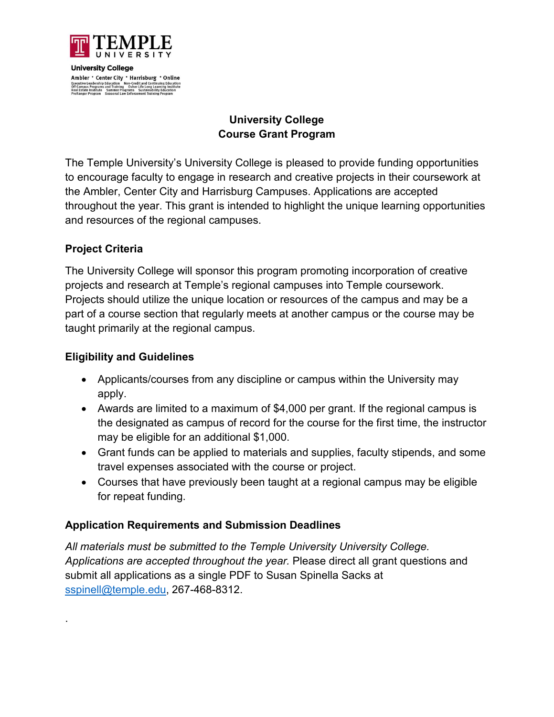

**University College** Ambler \* Center City \* Harrisburg \* Online Executive Leadership Education Non-Credit and Continuing Education<br>Off Campus Programs and Training Osher Life Long Learning Institute<br>Real Estate Institute Summer Programs Sustainability Education<br>ProRanger Program Season

# **University College Course Grant Program**

The Temple University's University College is pleased to provide funding opportunities to encourage faculty to engage in research and creative projects in their coursework at the Ambler, Center City and Harrisburg Campuses. Applications are accepted throughout the year. This grant is intended to highlight the unique learning opportunities and resources of the regional campuses.

### **Project Criteria**

.

The University College will sponsor this program promoting incorporation of creative projects and research at Temple's regional campuses into Temple coursework. Projects should utilize the unique location or resources of the campus and may be a part of a course section that regularly meets at another campus or the course may be taught primarily at the regional campus.

### **Eligibility and Guidelines**

- Applicants/courses from any discipline or campus within the University may apply.
- Awards are limited to a maximum of \$4,000 per grant. If the regional campus is the designated as campus of record for the course for the first time, the instructor may be eligible for an additional \$1,000.
- Grant funds can be applied to materials and supplies, faculty stipends, and some travel expenses associated with the course or project.
- Courses that have previously been taught at a regional campus may be eligible for repeat funding.

# **Application Requirements and Submission Deadlines**

*All materials must be submitted to the Temple University University College. Applications are accepted throughout the year.* Please direct all grant questions and submit all applications as a single PDF to Susan Spinella Sacks at [sspinell@temple.edu,](mailto:sspinell@temple.edu) 267-468-8312.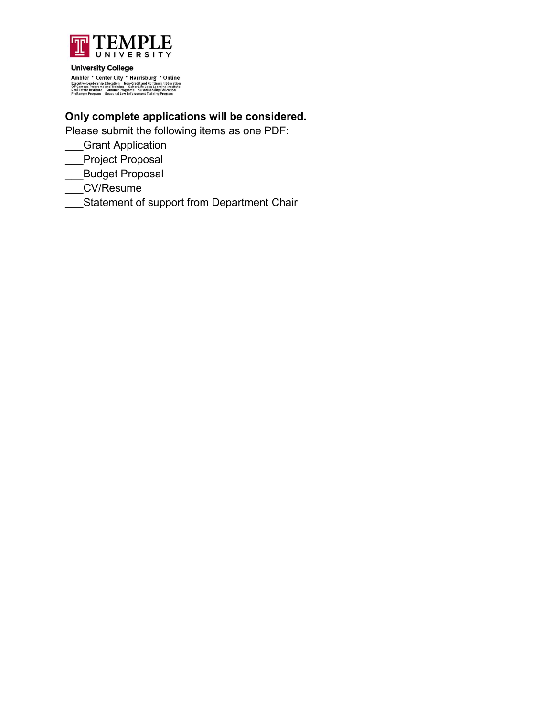

**University College** 

 $\label{eq:ampl} \begin{minipage}{0.9\textwidth} \bf{Ambler} \textcolor{red}{\bullet} \textbf{Center City} \textcolor{red}{\bullet} \textbf{Harrisburg} \textcolor{red}{\bullet} \textbf{Online} \\ \textbf{Excative teadershb} \textcolor{red}{\textbf{Eductation} \textbf{} \textbf{Non-Cataltation} } \textbf{Nots} \textbf{tand} \textbf{Countuclidean} \\ \textbf{Off Campe} \textcolor{red}{\textbf{Organis} \textbf{} \textbf{and Training} } \textbf{Oshert life} \textbf{long learning} \textbf{factual} \\ \textbf{Real State Institute} \textbf{Squation} \$ 

# **Only complete applications will be considered.**

Please submit the following items as one PDF:

- \_\_\_Grant Application
- \_\_\_Project Proposal
- \_\_\_Budget Proposal
- \_\_\_CV/Resume
- \_<br>\_Statement of support from Department Chair